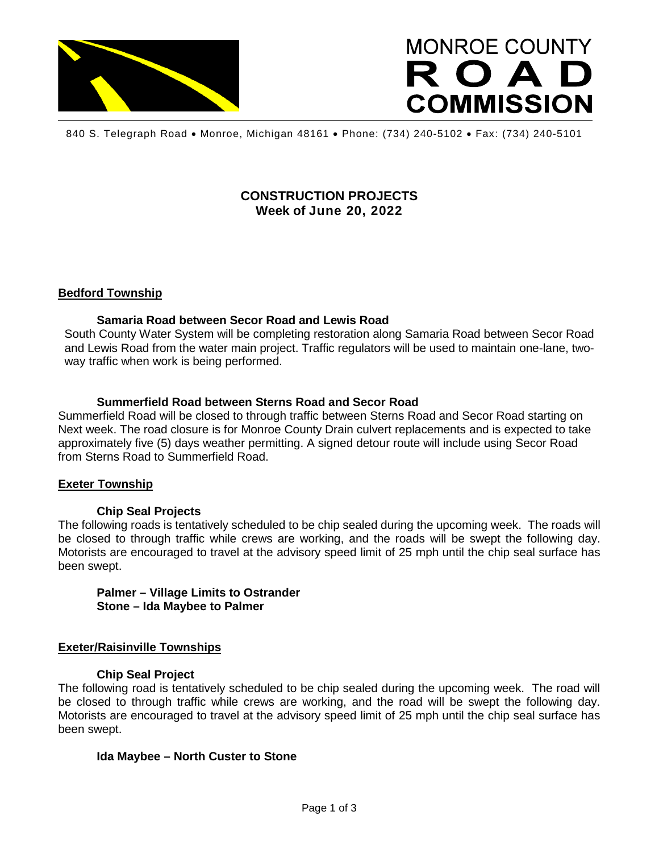

# **MONROE COUNTY** ROAD **COMMISSION**

840 S. Telegraph Road • Monroe, Michigan 48161 • Phone: (734) 240-5102 • Fax: (734) 240-5101

# **CONSTRUCTION PROJECTS Week of June 20, 2022**

# **Bedford Township**

#### **Samaria Road between Secor Road and Lewis Road**

South County Water System will be completing restoration along Samaria Road between Secor Road and Lewis Road from the water main project. Traffic regulators will be used to maintain one-lane, twoway traffic when work is being performed.

## **Summerfield Road between Sterns Road and Secor Road**

Summerfield Road will be closed to through traffic between Sterns Road and Secor Road starting on Next week. The road closure is for Monroe County Drain culvert replacements and is expected to take approximately five (5) days weather permitting. A signed detour route will include using Secor Road from Sterns Road to Summerfield Road.

#### **Exeter Township**

#### **Chip Seal Projects**

The following roads is tentatively scheduled to be chip sealed during the upcoming week. The roads will be closed to through traffic while crews are working, and the roads will be swept the following day. Motorists are encouraged to travel at the advisory speed limit of 25 mph until the chip seal surface has been swept.

**Palmer – Village Limits to Ostrander Stone – Ida Maybee to Palmer**

#### **Exeter/Raisinville Townships**

#### **Chip Seal Project**

The following road is tentatively scheduled to be chip sealed during the upcoming week. The road will be closed to through traffic while crews are working, and the road will be swept the following day. Motorists are encouraged to travel at the advisory speed limit of 25 mph until the chip seal surface has been swept.

#### **Ida Maybee – North Custer to Stone**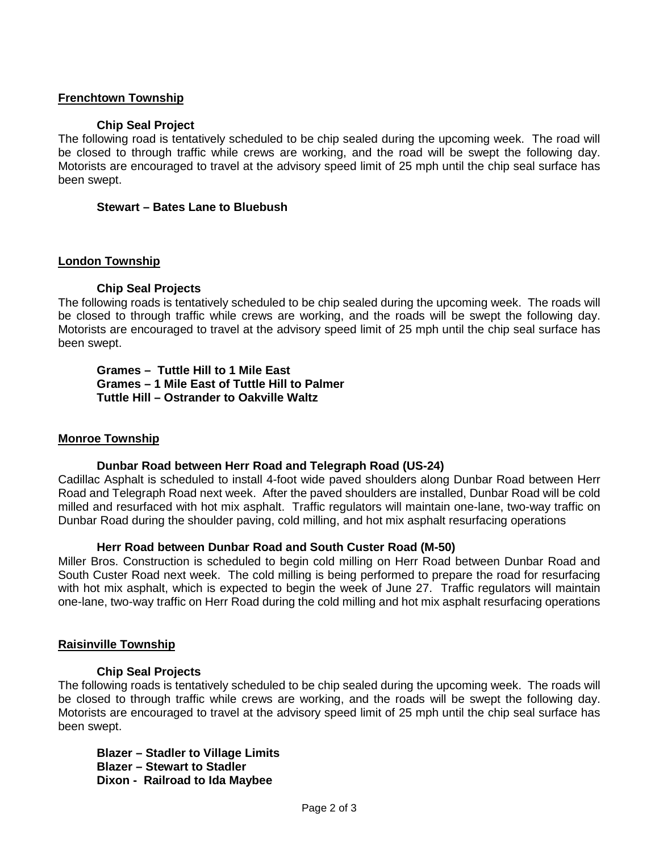# **Frenchtown Township**

#### **Chip Seal Project**

The following road is tentatively scheduled to be chip sealed during the upcoming week. The road will be closed to through traffic while crews are working, and the road will be swept the following day. Motorists are encouraged to travel at the advisory speed limit of 25 mph until the chip seal surface has been swept.

#### **Stewart – Bates Lane to Bluebush**

#### **London Township**

## **Chip Seal Projects**

The following roads is tentatively scheduled to be chip sealed during the upcoming week. The roads will be closed to through traffic while crews are working, and the roads will be swept the following day. Motorists are encouraged to travel at the advisory speed limit of 25 mph until the chip seal surface has been swept.

**Grames – Tuttle Hill to 1 Mile East Grames – 1 Mile East of Tuttle Hill to Palmer Tuttle Hill – Ostrander to Oakville Waltz**

#### **Monroe Township**

#### **Dunbar Road between Herr Road and Telegraph Road (US-24)**

Cadillac Asphalt is scheduled to install 4-foot wide paved shoulders along Dunbar Road between Herr Road and Telegraph Road next week. After the paved shoulders are installed, Dunbar Road will be cold milled and resurfaced with hot mix asphalt. Traffic regulators will maintain one-lane, two-way traffic on Dunbar Road during the shoulder paving, cold milling, and hot mix asphalt resurfacing operations

#### **Herr Road between Dunbar Road and South Custer Road (M-50)**

Miller Bros. Construction is scheduled to begin cold milling on Herr Road between Dunbar Road and South Custer Road next week. The cold milling is being performed to prepare the road for resurfacing with hot mix asphalt, which is expected to begin the week of June 27. Traffic regulators will maintain one-lane, two-way traffic on Herr Road during the cold milling and hot mix asphalt resurfacing operations

#### **Raisinville Township**

#### **Chip Seal Projects**

The following roads is tentatively scheduled to be chip sealed during the upcoming week. The roads will be closed to through traffic while crews are working, and the roads will be swept the following day. Motorists are encouraged to travel at the advisory speed limit of 25 mph until the chip seal surface has been swept.

**Blazer – Stadler to Village Limits Blazer – Stewart to Stadler Dixon - Railroad to Ida Maybee**